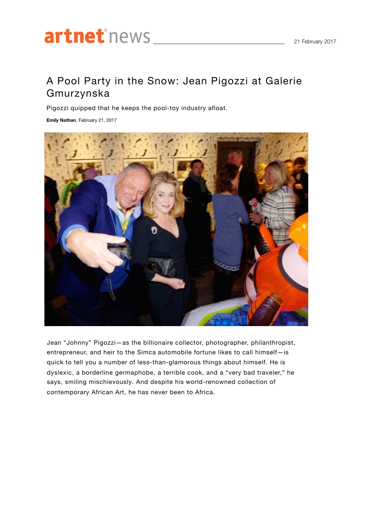## artnetnews

## A Pool Party in the Snow: Jean Pigozzi at Galerie Gmurzynska

Pigozzi quipped that he keeps the pool-toy industry afloat.

**Emily Nathan**, February 21, 2017



Jean "Johnny" Pigozzi—as the billionaire collector, photographer, philanthropist, entrepreneur, and heir to the Simca automobile fortune likes to call himself—is quick to tell you a number of less-than-glamorous things about himself. He is dyslexic, a borderline germaphobe, a terrible cook, and a "very bad traveler," he says, smiling mischievously. And despite his world-renowned collection of contemporary African Art, he has never been to Africa.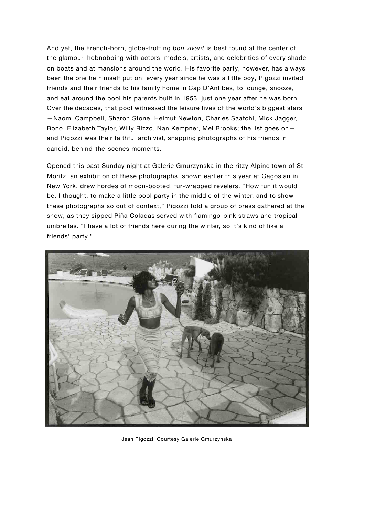And yet, the French-born, globe-trotting *bon vivant* is best found at the center of the glamour, hobnobbing with actors, models, artists, and celebrities of every shade on boats and at mansions around the world. His favorite party, however, has always been the one he himself put on: every year since he was a little boy, Pigozzi invited friends and their friends to his family home in Cap D'Antibes, to lounge, snooze, and eat around the pool his parents built in 1953, just one year after he was born. Over the decades, that pool witnessed the leisure lives of the world's biggest stars —Naomi Campbell, Sharon Stone, Helmut Newton, Charles Saatchi, Mick Jagger, Bono, Elizabeth Taylor, Willy Rizzo, Nan Kempner, Mel Brooks; the list goes on and Pigozzi was their faithful archivist, snapping photographs of his friends in candid, behind-the-scenes moments.

Opened this past Sunday night at Galerie Gmurzynska in the ritzy Alpine town of St Moritz, an exhibition of these photographs, shown earlier this year at Gagosian in New York, drew hordes of moon-booted, fur-wrapped revelers. "How fun it would be, I thought, to make a little pool party in the middle of the winter, and to show these photographs so out of context," Pigozzi told a group of press gathered at the show, as they sipped Piña Coladas served with flamingo-pink straws and tropical umbrellas. "I have a lot of friends here during the winter, so it's kind of like a friends' party."



Jean Pigozzi. Courtesy Galerie Gmurzynska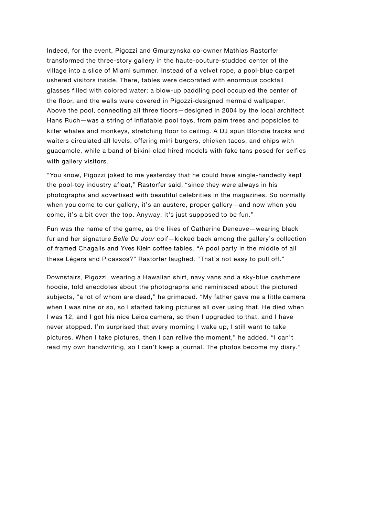Indeed, for the event, Pigozzi and Gmurzynska co-owner Mathias Rastorfer transformed the three-story gallery in the haute-couture-studded center of the village into a slice of Miami summer. Instead of a velvet rope, a pool-blue carpet ushered visitors inside. There, tables were decorated with enormous cocktail glasses filled with colored water; a blow-up paddling pool occupied the center of the floor, and the walls were covered in Pigozzi-designed mermaid wallpaper. Above the pool, connecting all three floors—designed in 2004 by the local architect Hans Ruch—was a string of inflatable pool toys, from palm trees and popsicles to killer whales and monkeys, stretching floor to ceiling. A DJ spun Blondie tracks and waiters circulated all levels, offering mini burgers, chicken tacos, and chips with guacamole, while a band of bikini-clad hired models with fake tans posed for selfies with gallery visitors.

"You know, Pigozzi joked to me yesterday that he could have single-handedly kept the pool-toy industry afloat," Rastorfer said, "since they were always in his photographs and advertised with beautiful celebrities in the magazines. So normally when you come to our gallery, it's an austere, proper gallery—and now when you come, it's a bit over the top. Anyway, it's just supposed to be fun."

Fun was the name of the game, as the likes of Catherine Deneuve—wearing black fur and her signature *Belle Du Jour* coif—kicked back among the gallery's collection of framed Chagalls and Yves Klein coffee tables. "A pool party in the middle of all these Légers and Picassos?" Rastorfer laughed. "That's not easy to pull off."

Downstairs, Pigozzi, wearing a Hawaiian shirt, navy vans and a sky-blue cashmere hoodie, told anecdotes about the photographs and reminisced about the pictured subjects, "a lot of whom are dead," he grimaced. "My father gave me a little camera when I was nine or so, so I started taking pictures all over using that. He died when I was 12, and I got his nice Leica camera, so then I upgraded to that, and I have never stopped. I'm surprised that every morning I wake up, I still want to take pictures. When I take pictures, then I can relive the moment," he added. "I can't read my own handwriting, so I can't keep a journal. The photos become my diary."